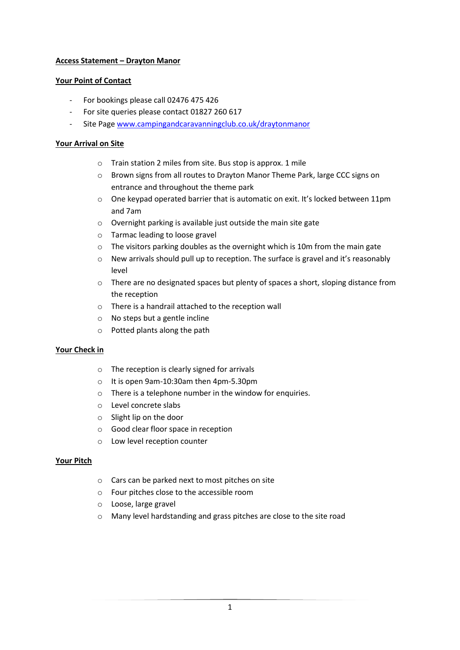## **Access Statement – Drayton Manor**

### **Your Point of Contact**

- For bookings please call 02476 475 426
- For site queries please contact 01827 260 617
- Site Page [www.campingandcaravanningclub.co.uk/draytonmanor](http://www.campingandcaravanningclub.co.uk/draytonmanor)

## **Your Arrival on Site**

- o Train station 2 miles from site. Bus stop is approx. 1 mile
- o Brown signs from all routes to Drayton Manor Theme Park, large CCC signs on entrance and throughout the theme park
- $\circ$  One keypad operated barrier that is automatic on exit. It's locked between 11pm and 7am
- o Overnight parking is available just outside the main site gate
- o Tarmac leading to loose gravel
- $\circ$  The visitors parking doubles as the overnight which is 10m from the main gate
- o New arrivals should pull up to reception. The surface is gravel and it's reasonably level
- o There are no designated spaces but plenty of spaces a short, sloping distance from the reception
- o There is a handrail attached to the reception wall
- o No steps but a gentle incline
- o Potted plants along the path

#### **Your Check in**

- o The reception is clearly signed for arrivals
- o It is open 9am-10:30am then 4pm-5.30pm
- o There is a telephone number in the window for enquiries.
- o Level concrete slabs
- o Slight lip on the door
- o Good clear floor space in reception
- o Low level reception counter

#### **Your Pitch**

- o Cars can be parked next to most pitches on site
- o Four pitches close to the accessible room
- o Loose, large gravel
- o Many level hardstanding and grass pitches are close to the site road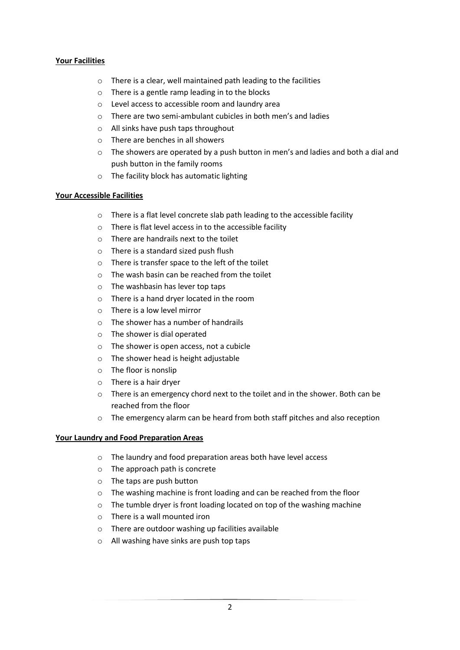# **Your Facilities**

- o There is a clear, well maintained path leading to the facilities
- o There is a gentle ramp leading in to the blocks
- o Level access to accessible room and laundry area
- o There are two semi-ambulant cubicles in both men's and ladies
- o All sinks have push taps throughout
- o There are benches in all showers
- $\circ$  The showers are operated by a push button in men's and ladies and both a dial and push button in the family rooms
- o The facility block has automatic lighting

#### **Your Accessible Facilities**

- o There is a flat level concrete slab path leading to the accessible facility
- o There is flat level access in to the accessible facility
- o There are handrails next to the toilet
- o There is a standard sized push flush
- o There is transfer space to the left of the toilet
- o The wash basin can be reached from the toilet
- o The washbasin has lever top taps
- o There is a hand dryer located in the room
- $\circ$  There is a low level mirror
- o The shower has a number of handrails
- o The shower is dial operated
- o The shower is open access, not a cubicle
- o The shower head is height adjustable
- o The floor is nonslip
- o There is a hair dryer
- $\circ$  There is an emergency chord next to the toilet and in the shower. Both can be reached from the floor
- o The emergency alarm can be heard from both staff pitches and also reception

#### **Your Laundry and Food Preparation Areas**

- o The laundry and food preparation areas both have level access
- o The approach path is concrete
- o The taps are push button
- o The washing machine is front loading and can be reached from the floor
- o The tumble dryer is front loading located on top of the washing machine
- o There is a wall mounted iron
- o There are outdoor washing up facilities available
- o All washing have sinks are push top taps